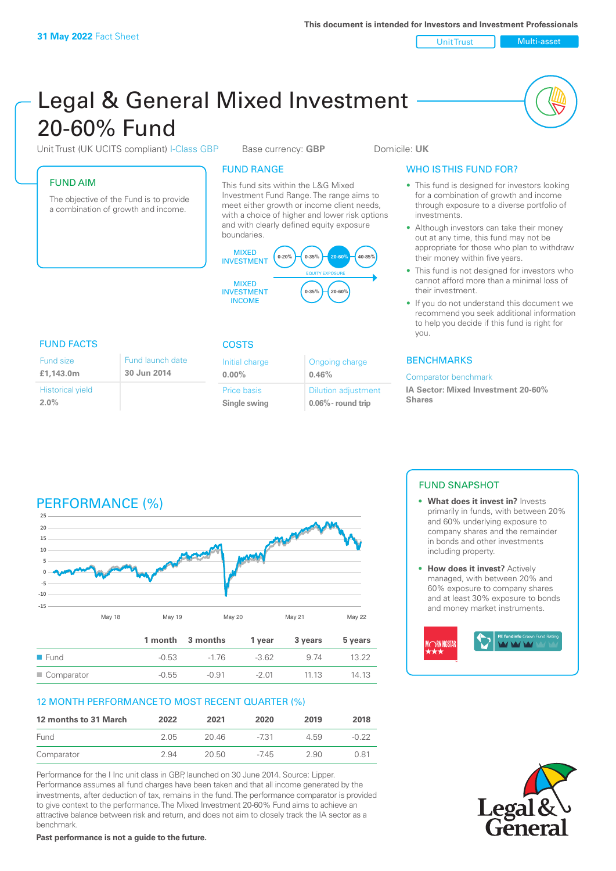Unit Trust Multi-asset

# Legal & General Mixed Investment 20‑60% Fund

Unit Trust (UK UCITS compliant) I-Class GBP Base currency: **GBP** Domicile: UK

## FUND AIM

The objective of the Fund is to provide a combination of growth and income.

## FUND RANGE

This fund sits within the L&G Mixed Investment Fund Range. The range aims to meet either growth or income client needs, with a choice of higher and lower risk options and with clearly defined equity exposure boundaries.



## FUND FACTS COSTS

| Fund size               | Fund launch date |
|-------------------------|------------------|
| £1.143.0m               | 30 Jun 2014      |
| <b>Historical yield</b> |                  |
| 2.0%                    |                  |

| Initial charge<br>$0.00\%$ | Ongoing charge<br>0.46%    |
|----------------------------|----------------------------|
| Price basis                | <b>Dilution adjustment</b> |
| Single swing               | $0.06\%$ - round trip      |

## WHO IS THIS FUND FOR?

- This fund is designed for investors looking for a combination of growth and income through exposure to a diverse portfolio of investments.
- Although investors can take their money out at any time, this fund may not be appropriate for those who plan to withdraw their money within five years.
- This fund is not designed for investors who cannot afford more than a minimal loss of their investment.
- If you do not understand this document we recommend you seek additional information to help you decide if this fund is right for you.

## **BENCHMARKS**

### Comparator benchmark

**IA Sector: Mixed Investment 20‑60% Shares** 

## PERFORMANCE (%)



## 12 MONTH PERFORMANCE TO MOST RECENT QUARTER (%)

| 12 months to 31 March | 2022 | 2021  | 2020   | 2019 | 2018  |
|-----------------------|------|-------|--------|------|-------|
| Fund                  | 205  | 20.46 | $-731$ | 4.59 | -0.22 |
| Comparator            | 2.94 | 20.50 | $-745$ | 2.90 | 0.81  |

Performance for the I Inc unit class in GBP, launched on 30 June 2014. Source: Lipper. Performance assumes all fund charges have been taken and that all income generated by the investments, after deduction of tax, remains in the fund. The performance comparator is provided to give context to the performance. The Mixed Investment 20-60% Fund aims to achieve an attractive balance between risk and return, and does not aim to closely track the IA sector as a benchmark.

**Past performance is not a guide to the future.**

## FUND SNAPSHOT

- **• What does it invest in?** Invests primarily in funds, with between 20% and 60% underlying exposure to company shares and the remainder in bonds and other investments including property.
- **• How does it invest?** Actively managed, with between 20% and 60% exposure to company shares and at least 30% exposure to bonds and money market instruments.



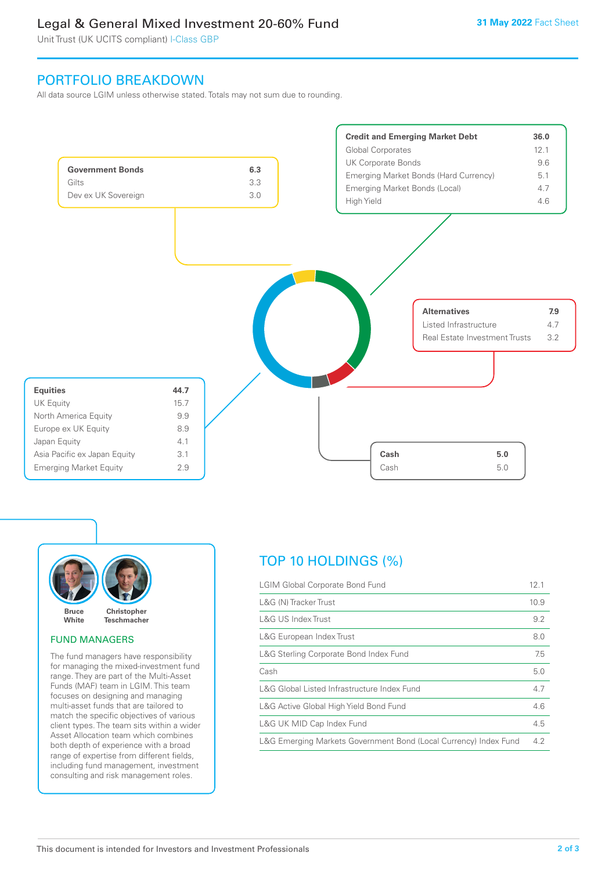## Legal & General Mixed Investment 20-60% Fund

Unit Trust (UK UCITS compliant) I-Class GBP

## PORTFOLIO BREAKDOWN

All data source LGIM unless otherwise stated. Totals may not sum due to rounding.





## FUND MANAGERS

The fund managers have responsibility for managing the mixed-investment fund range. They are part of the Multi-Asset Funds (MAF) team in LGIM. This team focuses on designing and managing multi-asset funds that are tailored to match the specific objectives of various client types. The team sits within a wider Asset Allocation team which combines both depth of experience with a broad range of expertise from different fields, including fund management, investment consulting and risk management roles.

## TOP 10 HOLDINGS (%)

| <b>LGIM Global Corporate Bond Fund</b>                           | 12.1 |
|------------------------------------------------------------------|------|
| L&G (N) Tracker Trust                                            | 10.9 |
| L&G US Index Trust                                               | 9.2  |
| L&G European Index Trust                                         | 8.0  |
| L&G Sterling Corporate Bond Index Fund                           | 7.5  |
| Cash                                                             | 5.0  |
| L&G Global Listed Infrastructure Index Fund                      | 4.7  |
| L&G Active Global High Yield Bond Fund                           | 4.6  |
| L&G UK MID Cap Index Fund                                        | 4.5  |
| L&G Emerging Markets Government Bond (Local Currency) Index Fund | 4.2  |